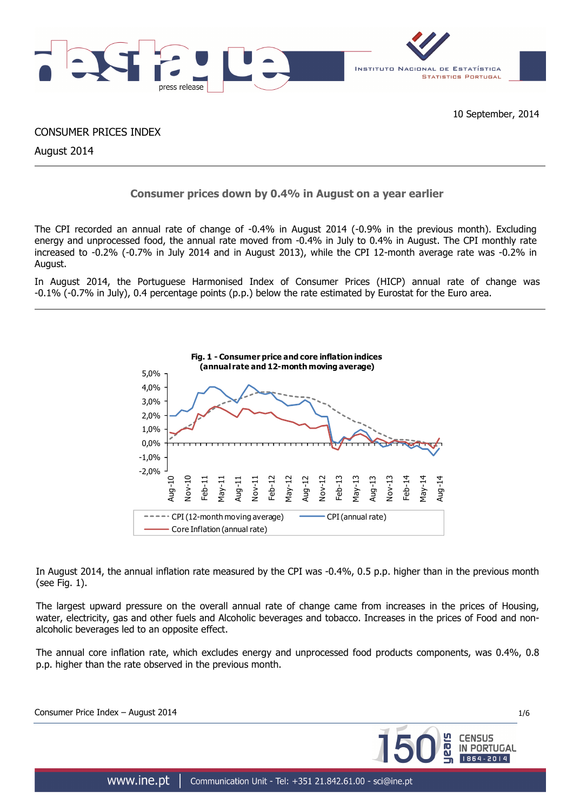

CONSUMER PRICES INDEX

August 2014

## **Consumer prices down by 0.4% in August on a year earlier**

The CPI recorded an annual rate of change of -0.4% in August 2014 (-0.9% in the previous month). Excluding energy and unprocessed food, the annual rate moved from -0.4% in July to 0.4% in August. The CPI monthly rate increased to -0.2% (-0.7% in July 2014 and in August 2013), while the CPI 12-month average rate was -0.2% in August.

In August 2014, the Portuguese Harmonised Index of Consumer Prices (HICP) annual rate of change was -0.1% (-0.7% in July), 0.4 percentage points (p.p.) below the rate estimated by Eurostat for the Euro area.



In August 2014, the annual inflation rate measured by the CPI was -0.4%, 0.5 p.p. higher than in the previous month (see Fig. 1).

The largest upward pressure on the overall annual rate of change came from increases in the prices of Housing, water, electricity, gas and other fuels and Alcoholic beverages and tobacco. Increases in the prices of Food and nonalcoholic beverages led to an opposite effect.

The annual core inflation rate, which excludes energy and unprocessed food products components, was 0.4%, 0.8 p.p. higher than the rate observed in the previous month.

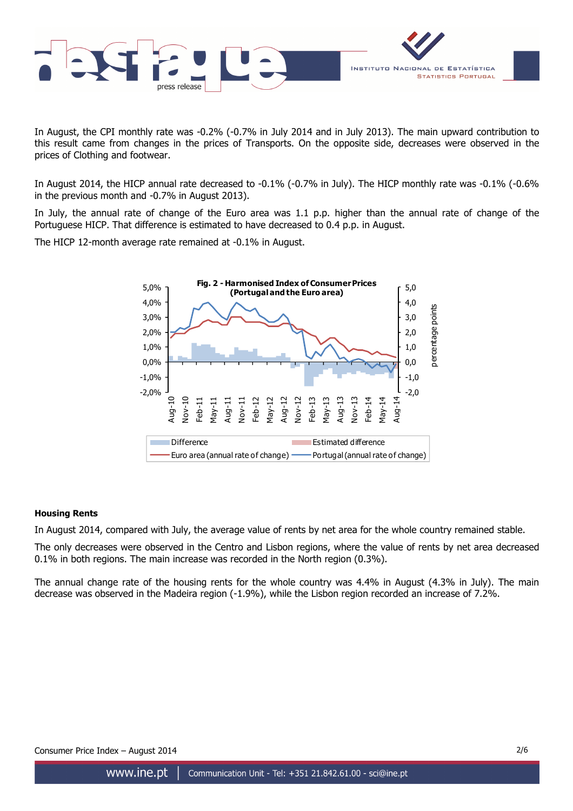

In August, the CPI monthly rate was -0.2% (-0.7% in July 2014 and in July 2013). The main upward contribution to this result came from changes in the prices of Transports. On the opposite side, decreases were observed in the prices of Clothing and footwear.

In August 2014, the HICP annual rate decreased to -0.1% (-0.7% in July). The HICP monthly rate was -0.1% (-0.6% in the previous month and -0.7% in August 2013).

In July, the annual rate of change of the Euro area was 1.1 p.p. higher than the annual rate of change of the Portuguese HICP. That difference is estimated to have decreased to 0.4 p.p. in August.

The HICP 12-month average rate remained at -0.1% in August.



## **Housing Rents**

In August 2014, compared with July, the average value of rents by net area for the whole country remained stable.

The only decreases were observed in the Centro and Lisbon regions, where the value of rents by net area decreased 0.1% in both regions. The main increase was recorded in the North region (0.3%).

The annual change rate of the housing rents for the whole country was 4.4% in August (4.3% in July). The main decrease was observed in the Madeira region (-1.9%), while the Lisbon region recorded an increase of 7.2%.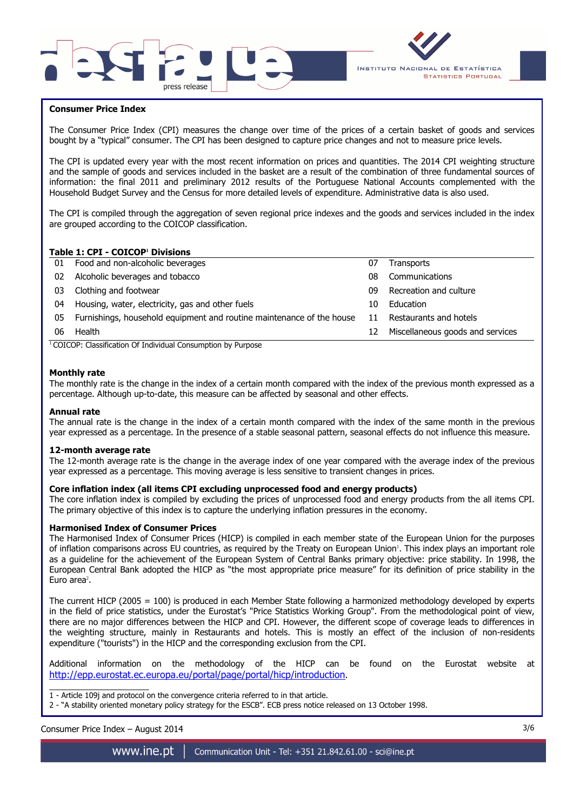



## **Consumer Price Index**

The Consumer Price Index (CPI) measures the change over time of the prices of a certain basket of goods and services bought by a "typical" consumer. The CPI has been designed to capture price changes and not to measure price levels.

The CPI is updated every year with the most recent information on prices and quantities. The 2014 CPI weighting structure and the sample of goods and services included in the basket are a result of the combination of three fundamental sources of information: the final 2011 and preliminary 2012 results of the Portuguese National Accounts complemented with the Household Budget Survey and the Census for more detailed levels of expenditure. Administrative data is also used.

The CPI is compiled through the aggregation of seven regional price indexes and the goods and services included in the index are grouped according to the COICOP classification.

## **Table 1: CPI - COICOP<sup>1</sup> Divisions**

| 01 | Food and non-alcoholic beverages                                      | 07 | <b>Transports</b>                |
|----|-----------------------------------------------------------------------|----|----------------------------------|
| 02 | Alcoholic beverages and tobacco                                       | 08 | Communications                   |
| 03 | Clothing and footwear                                                 | 09 | Recreation and culture           |
| 04 | Housing, water, electricity, gas and other fuels                      | 10 | Education                        |
| 05 | Furnishings, household equipment and routine maintenance of the house | 11 | Restaurants and hotels           |
| 06 | Health                                                                | 12 | Miscellaneous goods and services |
|    | $\cdots$<br>$\cdots$<br>$\sim$                                        |    |                                  |

<sup>1</sup> COICOP: Classification Of Individual Consumption by Purpose

#### **Monthly rate**

The monthly rate is the change in the index of a certain month compared with the index of the previous month expressed as a percentage. Although up-to-date, this measure can be affected by seasonal and other effects.

#### **Annual rate**

The annual rate is the change in the index of a certain month compared with the index of the same month in the previous year expressed as a percentage. In the presence of a stable seasonal pattern, seasonal effects do not influence this measure.

#### **12-month average rate**

The 12-month average rate is the change in the average index of one year compared with the average index of the previous year expressed as a percentage. This moving average is less sensitive to transient changes in prices.

#### **Core inflation index (all items CPI excluding unprocessed food and energy products)**

The core inflation index is compiled by excluding the prices of unprocessed food and energy products from the all items CPI. The primary objective of this index is to capture the underlying inflation pressures in the economy.

#### **Harmonised Index of Consumer Prices**

The Harmonised Index of Consumer Prices (HICP) is compiled in each member state of the European Union for the purposes of inflation comparisons across EU countries, as required by the Treaty on European Union'. This index plays an important role as a guideline for the achievement of the European System of Central Banks primary objective: price stability. In 1998, the European Central Bank adopted the HICP as "the most appropriate price measure" for its definition of price stability in the Euro area<sup>2</sup>.

The current HICP (2005 = 100) is produced in each Member State following a harmonized methodology developed by experts in the field of price statistics, under the Eurostat's "Price Statistics Working Group". From the methodological point of view, there are no major differences between the HICP and CPI. However, the different scope of coverage leads to differences in the weighting structure, mainly in Restaurants and hotels. This is mostly an effect of the inclusion of non-residents expenditure ("tourists") in the HICP and the corresponding exclusion from the CPI.

Additional information on the methodology of the HICP can be found on the Eurostat website at http://epp.eurostat.ec.europa.eu/portal/page/portal/hicp/introduction.

\_\_\_\_\_\_\_\_\_\_\_\_\_\_\_\_\_\_\_\_\_ 1 - Article 109j and protocol on the convergence criteria referred to in that article.

2 - "A stability oriented monetary policy strategy for the ESCB". ECB press notice released on 13 October 1998.

## Consumer Price Index – August 2014 3/6

www.ine.pt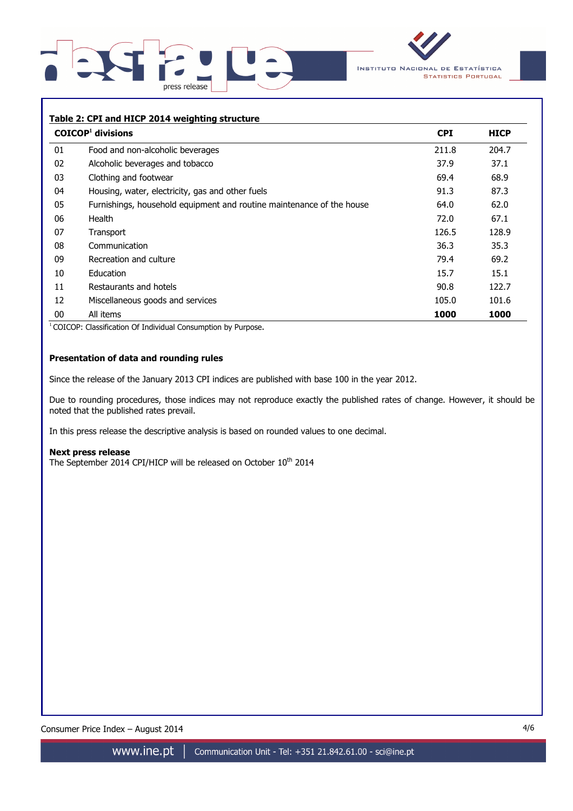



# **Table 2: CPI and HICP 2014 weighting structure COICOP<sup>1</sup> divisions CPI HICP**  01 Food and non-alcoholic beverages 211.8 204.7 02 Alcoholic beverages and tobacco 37.9 37.1 03 Clothing and footwear 68.9 04 Housing, water, electricity, gas and other fuels 87.3 87.3 87.3 05 Furnishings, household equipment and routine maintenance of the house 64.0 62.0 06 Health 72.0 67.1 07 Transport 128.9 (128.9 ) and the set of the set of the set of the set of the set of the set of the set of t 08 Communication 36.3 35.3 09 Recreation and culture **1998 Recreation and culture** 1998 10 Education 15.7 15.1 11 Restaurants and hotels 90.8 122.7 12 Miscellaneous goods and services 105.0 101.6 105.0 101.6 00 All items **1000 1000**

<sup>1</sup> COICOP: Classification Of Individual Consumption by Purpose.

## **Presentation of data and rounding rules**

Since the release of the January 2013 CPI indices are published with base 100 in the year 2012.

Due to rounding procedures, those indices may not reproduce exactly the published rates of change. However, it should be noted that the published rates prevail.

In this press release the descriptive analysis is based on rounded values to one decimal.

#### **Next press release**

The September 2014 CPI/HICP will be released on October 10<sup>th</sup> 2014

Consumer Price Index – August 2014 4/6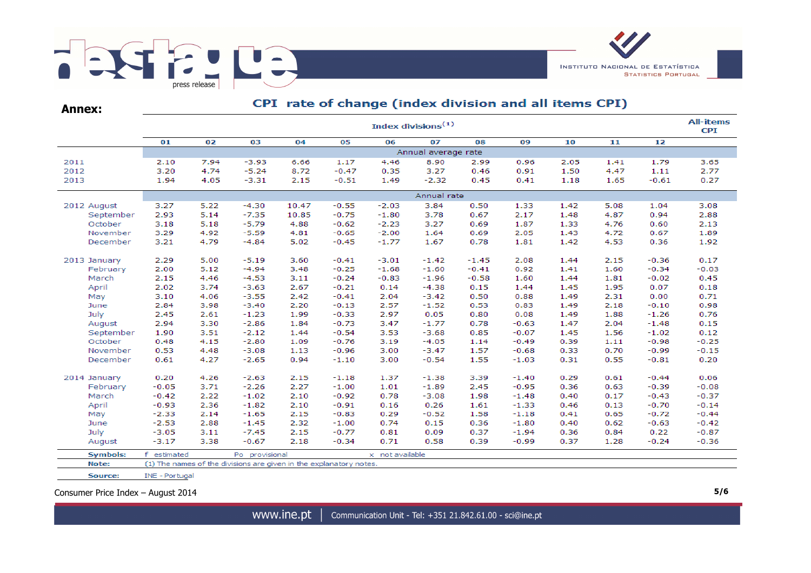

| <b>Annex:</b>   |             |                       |                                                                    |       |         | CPI rate of change (index division and all items CPI) |         |         |         |      |      |         |         |  |  |  |
|-----------------|-------------|-----------------------|--------------------------------------------------------------------|-------|---------|-------------------------------------------------------|---------|---------|---------|------|------|---------|---------|--|--|--|
|                 |             | Index divisions $(1)$ |                                                                    |       |         |                                                       |         |         |         |      |      |         |         |  |  |  |
|                 | 01          | 02                    | 03                                                                 | 04    | 05      | 06                                                    | 07      | 08      | 09      | 10   | 11   | 12      |         |  |  |  |
|                 |             | Annual average rate   |                                                                    |       |         |                                                       |         |         |         |      |      |         |         |  |  |  |
| 2011            | 2.10        | 7.94                  | $-3.93$                                                            | 6.66  | 1.17    | 4.46                                                  | 8.90    | 2.99    | 0.96    | 2.05 | 1.41 | 1.79    | 3.65    |  |  |  |
| 2012            | 3.20        | 4.74                  | $-5.24$                                                            | 8.72  | $-0.47$ | 0.35                                                  | 3.27    | 0.46    | 0.91    | 1.50 | 4.47 | 1.11    | 2.77    |  |  |  |
| 2013            | 1.94        | 4.05                  | $-3.31$                                                            | 2.15  | $-0.51$ | 1.49                                                  | $-2.32$ | 0.45    | 0.41    | 1.18 | 1.65 | $-0.61$ | 0.27    |  |  |  |
|                 |             | Annual rate           |                                                                    |       |         |                                                       |         |         |         |      |      |         |         |  |  |  |
| 2012 August     | 3.27        | 5.22                  | $-4.30$                                                            | 10.47 | $-0.55$ | $-2.03$                                               | 3.84    | 0.50    | 1.33    | 1.42 | 5.08 | 1.04    | 3.08    |  |  |  |
| September       | 2.93        | 5.14                  | $-7.35$                                                            | 10.85 | $-0.75$ | $-1.80$                                               | 3.78    | 0.67    | 2.17    | 1.48 | 4.87 | 0.94    | 2.88    |  |  |  |
| October         | 3.18        | 5.18                  | $-5.79$                                                            | 4.88  | $-0.62$ | $-2.23$                                               | 3.27    | 0.69    | 1.87    | 1.33 | 4.76 | 0.60    | 2.13    |  |  |  |
| November        | 3.29        | 4.92                  | $-5.59$                                                            | 4.81  | $-0.65$ | $-2.00$                                               | 1.64    | 0.69    | 2.05    | 1.43 | 4.72 | 0.67    | 1.89    |  |  |  |
| December        | 3.21        | 4.79                  | $-4.84$                                                            | 5.02  | $-0.45$ | $-1.77$                                               | 1.67    | 0.78    | 1.81    | 1.42 | 4.53 | 0.36    | 1.92    |  |  |  |
| 2013 January    | 2.29        | 5.00                  | $-5.19$                                                            | 3.60  | $-0.41$ | $-3.01$                                               | $-1.42$ | $-1.45$ | 2.08    | 1.44 | 2.15 | $-0.36$ | 0.17    |  |  |  |
| February        | 2.00        | 5.12                  | $-4.94$                                                            | 3.48  | $-0.25$ | $-1.68$                                               | $-1.60$ | $-0.41$ | 0.92    | 1.41 | 1.60 | $-0.34$ | $-0.03$ |  |  |  |
| March           | 2.15        | 4.46                  | $-4.53$                                                            | 3.11  | $-0.24$ | $-0.83$                                               | $-1.96$ | $-0.58$ | 1.60    | 1.44 | 1.81 | $-0.02$ | 0.45    |  |  |  |
| April           | 2.02        | 3.74                  | $-3.63$                                                            | 2.67  | $-0.21$ | 0.14                                                  | $-4.38$ | 0.15    | 1.44    | 1.45 | 1.95 | 0.07    | 0.18    |  |  |  |
| May             | 3.10        | 4.06                  | $-3.55$                                                            | 2.42  | $-0.41$ | 2.04                                                  | $-3.42$ | 0.50    | 0.88    | 1.49 | 2.31 | 0.00    | 0.71    |  |  |  |
| June            | 2.84        | 3.98                  | $-3.40$                                                            | 2.20  | $-0.13$ | 2.57                                                  | $-1.52$ | 0.53    | 0.83    | 1.49 | 2.18 | $-0.10$ | 0.98    |  |  |  |
| July            | 2.45        | 2.61                  | $-1.23$                                                            | 1.99  | $-0.33$ | 2.97                                                  | 0.05    | 0.80    | 0.08    | 1.49 | 1.88 | $-1.26$ | 0.76    |  |  |  |
| August          | 2.94        | 3.30                  | $-2.86$                                                            | 1.84  | $-0.73$ | 3.47                                                  | $-1.77$ | 0.78    | $-0.63$ | 1.47 | 2.04 | $-1.48$ | 0.15    |  |  |  |
| September       | 1.90        | 3.51                  | $-2.12$                                                            | 1.44  | $-0.54$ | 3.53                                                  | $-3.68$ | 0.85    | $-0.07$ | 1.45 | 1.56 | $-1.02$ | 0.12    |  |  |  |
| October         | 0.48        | 4.15                  | $-2.80$                                                            | 1.09  | $-0.76$ | 3.19                                                  | $-4.05$ | 1.14    | $-0.49$ | 0.39 | 1.11 | $-0.98$ | $-0.25$ |  |  |  |
| November        | 0.53        | 4.48                  | $-3.08$                                                            | 1.13  | $-0.96$ | 3.00                                                  | $-3.47$ | 1.57    | $-0.68$ | 0.33 | 0.70 | $-0.99$ | $-0.15$ |  |  |  |
| December        | 0.61        | 4.27                  | $-2.65$                                                            | 0.94  | $-1.10$ | 3.00                                                  | $-0.54$ | 1.55    | $-1.03$ | 0.31 | 0.55 | $-0.81$ | 0.20    |  |  |  |
| 2014 January    | 0.20        | 4.26                  | $-2.63$                                                            | 2.15  | $-1.18$ | 1.37                                                  | $-1.38$ | 3.39    | $-1.40$ | 0.29 | 0.61 | $-0.44$ | 0.06    |  |  |  |
| February        | $-0.05$     | 3.71                  | $-2.26$                                                            | 2.27  | $-1.00$ | 1.01                                                  | $-1.89$ | 2.45    | $-0.95$ | 0.36 | 0.63 | $-0.39$ | $-0.08$ |  |  |  |
| March           | $-0.42$     | 2.22                  | $-1.02$                                                            | 2.10  | $-0.92$ | 0.78                                                  | $-3.08$ | 1.98    | $-1.48$ | 0.40 | 0.17 | $-0.43$ | $-0.37$ |  |  |  |
| April           | $-0.93$     | 2.36                  | $-1.82$                                                            | 2.10  | $-0.91$ | 0.16                                                  | 0.26    | 1.61    | $-1.33$ | 0.46 | 0.13 | $-0.70$ | $-0.14$ |  |  |  |
| May             | $-2.33$     | 2.14                  | $-1.65$                                                            | 2.15  | $-0.83$ | 0.29                                                  | $-0.52$ | 1.58    | $-1.18$ | 0.41 | 0.65 | $-0.72$ | $-0.44$ |  |  |  |
| June            | $-2.53$     | 2.88                  | $-1.45$                                                            | 2.32  | $-1.00$ | 0.74                                                  | 0.15    | 0.36    | $-1.80$ | 0.40 | 0.62 | $-0.63$ | $-0.42$ |  |  |  |
| July            | $-3.05$     | 3.11                  | $-7.45$                                                            | 2.15  | $-0.77$ | 0.81                                                  | 0.09    | 0.37    | $-1.94$ | 0.36 | 0.84 | 0.22    | $-0.87$ |  |  |  |
| August          | $-3.17$     | 3.38                  | $-0.67$                                                            | 2.18  | $-0.34$ | 0.71                                                  | 0.58    | 0.39    | $-0.99$ | 0.37 | 1.28 | $-0.24$ | $-0.36$ |  |  |  |
| <b>Symbols:</b> | f estimated |                       | Po provisional                                                     |       |         | x not available                                       |         |         |         |      |      |         |         |  |  |  |
| Note:           |             |                       | (1) The names of the divisions are given in the explanatory notes. |       |         |                                                       |         |         |         |      |      |         |         |  |  |  |

Consumer Price Index – August 2014 **5/6**

INE - Portugal

Source: